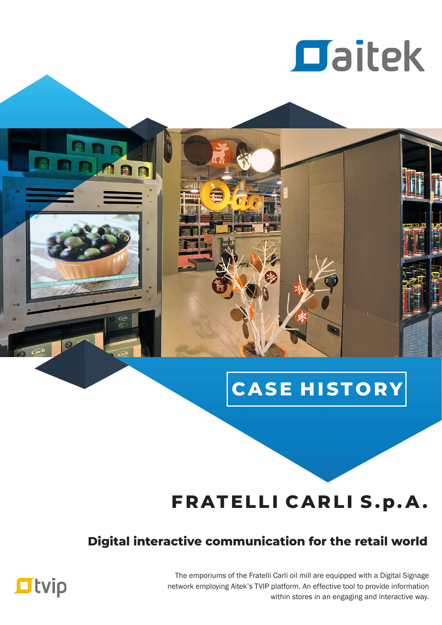

# **CASE H ISTO RY**

## **FRATELLI CARLI S.p. A .**

## **Digital interactive communication for the retail world**

The emporiums of the Fratelli Carli oil mill are equipped with a Digital Signage network employing Aitek's TVIP platform. An effective tool to provide information within stores in an engaging and interactive way.